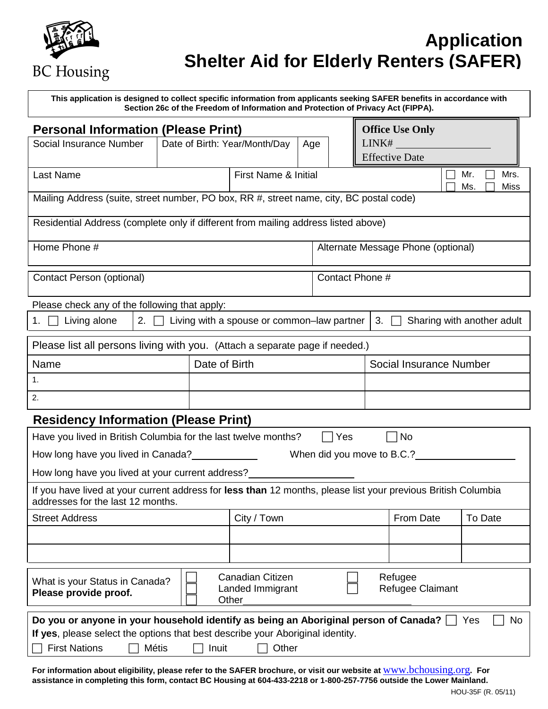

## **Application Shelter Aid for Elderly Renters (SAFER)**

| This application is designed to collect specific information from applicants seeking SAFER benefits in accordance with<br>Section 26c of the Freedom of Information and Protection of Privacy Act (FIPPA).                                    |  |               |                                            |                                                 |                 |    |                                    |                            |
|-----------------------------------------------------------------------------------------------------------------------------------------------------------------------------------------------------------------------------------------------|--|---------------|--------------------------------------------|-------------------------------------------------|-----------------|----|------------------------------------|----------------------------|
| <b>Personal Information (Please Print)</b><br>Social Insurance Number<br>Date of Birth: Year/Month/Day<br>Age                                                                                                                                 |  |               | LINK#                                      | <b>Office Use Only</b><br><b>Effective Date</b> |                 |    |                                    |                            |
| Last Name                                                                                                                                                                                                                                     |  |               | First Name & Initial                       |                                                 |                 |    |                                    | Mr.<br>Mrs.<br>Ms.<br>Miss |
| Mailing Address (suite, street number, PO box, RR #, street name, city, BC postal code)                                                                                                                                                       |  |               |                                            |                                                 |                 |    |                                    |                            |
| Residential Address (complete only if different from mailing address listed above)                                                                                                                                                            |  |               |                                            |                                                 |                 |    |                                    |                            |
| Home Phone #                                                                                                                                                                                                                                  |  |               |                                            |                                                 |                 |    | Alternate Message Phone (optional) |                            |
| Contact Person (optional)                                                                                                                                                                                                                     |  |               |                                            |                                                 | Contact Phone # |    |                                    |                            |
| Please check any of the following that apply:                                                                                                                                                                                                 |  |               |                                            |                                                 |                 |    |                                    |                            |
| Living alone<br>2.<br>1.                                                                                                                                                                                                                      |  |               | Living with a spouse or common-law partner |                                                 |                 | 3. |                                    | Sharing with another adult |
| Please list all persons living with you. (Attach a separate page if needed.)                                                                                                                                                                  |  |               |                                            |                                                 |                 |    |                                    |                            |
| Name                                                                                                                                                                                                                                          |  | Date of Birth |                                            |                                                 |                 |    | Social Insurance Number            |                            |
| 1.                                                                                                                                                                                                                                            |  |               |                                            |                                                 |                 |    |                                    |                            |
| 2.                                                                                                                                                                                                                                            |  |               |                                            |                                                 |                 |    |                                    |                            |
| <b>Residency Information (Please Print)</b>                                                                                                                                                                                                   |  |               |                                            |                                                 |                 |    |                                    |                            |
| Have you lived in British Columbia for the last twelve months?                                                                                                                                                                                |  |               |                                            |                                                 | Yes             |    | No                                 |                            |
| When did you move to B.C.?<br>How long have you lived in Canada?                                                                                                                                                                              |  |               |                                            |                                                 |                 |    |                                    |                            |
| How long have you lived at your current address?                                                                                                                                                                                              |  |               |                                            |                                                 |                 |    |                                    |                            |
| If you have lived at your current address for less than 12 months, please list your previous British Columbia<br>addresses for the last 12 months.                                                                                            |  |               |                                            |                                                 |                 |    |                                    |                            |
| <b>Street Address</b>                                                                                                                                                                                                                         |  |               | City / Town                                |                                                 |                 |    | From Date                          | To Date                    |
|                                                                                                                                                                                                                                               |  |               |                                            |                                                 |                 |    |                                    |                            |
|                                                                                                                                                                                                                                               |  |               |                                            |                                                 |                 |    |                                    |                            |
| <b>Canadian Citizen</b><br>Refugee<br>What is your Status in Canada?<br>Landed Immigrant<br>Refugee Claimant<br>Please provide proof.<br>Other                                                                                                |  |               |                                            |                                                 |                 |    |                                    |                            |
| Do you or anyone in your household identify as being an Aboriginal person of Canada?<br>No<br>Yes<br>If yes, please select the options that best describe your Aboriginal identity.<br><b>First Nations</b><br><b>Métis</b><br>Inuit<br>Other |  |               |                                            |                                                 |                 |    |                                    |                            |

**For information about eligibility, please refer to the SAFER brochure, or visit our website at** [www.bchousing.org](http://www.bchousing.org/)**. For assistance in completing this form, contact BC Housing at 604-433-2218 or 1-800-257-7756 outside the Lower Mainland.**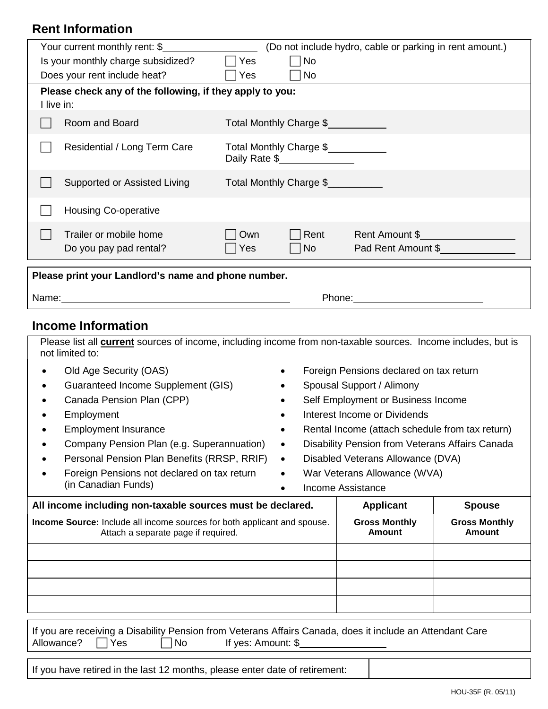## **Rent Information**

|                                                     | Your current monthly rent: \$                            |            |                                          | (Do not include hydro, cable or parking in rent amount.)                                                                                                                                                                       |
|-----------------------------------------------------|----------------------------------------------------------|------------|------------------------------------------|--------------------------------------------------------------------------------------------------------------------------------------------------------------------------------------------------------------------------------|
|                                                     | Is your monthly charge subsidized?                       | Yes        | No                                       |                                                                                                                                                                                                                                |
|                                                     | Does your rent include heat?                             | Yes        | No                                       |                                                                                                                                                                                                                                |
| I live in:                                          | Please check any of the following, if they apply to you: |            |                                          |                                                                                                                                                                                                                                |
|                                                     | Room and Board                                           |            | Total Monthly Charge \$                  |                                                                                                                                                                                                                                |
|                                                     | Residential / Long Term Care                             |            | Total Monthly Charge \$<br>Daily Rate \$ |                                                                                                                                                                                                                                |
|                                                     | Supported or Assisted Living                             |            | Total Monthly Charge \$                  |                                                                                                                                                                                                                                |
|                                                     | <b>Housing Co-operative</b>                              |            |                                          |                                                                                                                                                                                                                                |
|                                                     | Trailer or mobile home<br>Do you pay pad rental?         | Own<br>Yes | Rent<br>  No                             | Rent Amount \$<br>Pad Rent Amount \$                                                                                                                                                                                           |
| Please print your Landlord's name and phone number. |                                                          |            |                                          |                                                                                                                                                                                                                                |
|                                                     |                                                          |            |                                          | Phone: the contract of the contract of the contract of the contract of the contract of the contract of the contract of the contract of the contract of the contract of the contract of the contract of the contract of the con |
|                                                     |                                                          |            |                                          |                                                                                                                                                                                                                                |

## **Income Information**

|            | Please list all <b>current</b> sources of income, including income from non-taxable sources. Income includes, but is<br>not limited to:      |           |                                                 |                                       |
|------------|----------------------------------------------------------------------------------------------------------------------------------------------|-----------|-------------------------------------------------|---------------------------------------|
|            | Old Age Security (OAS)                                                                                                                       |           | Foreign Pensions declared on tax return         |                                       |
|            | Guaranteed Income Supplement (GIS)                                                                                                           |           | Spousal Support / Alimony                       |                                       |
|            | Canada Pension Plan (CPP)                                                                                                                    |           | Self Employment or Business Income              |                                       |
|            | Employment                                                                                                                                   |           | Interest Income or Dividends                    |                                       |
|            | <b>Employment Insurance</b>                                                                                                                  | $\bullet$ | Rental Income (attach schedule from tax return) |                                       |
|            | Company Pension Plan (e.g. Superannuation)                                                                                                   | $\bullet$ | Disability Pension from Veterans Affairs Canada |                                       |
|            | Personal Pension Plan Benefits (RRSP, RRIF)                                                                                                  | $\bullet$ | Disabled Veterans Allowance (DVA)               |                                       |
|            | Foreign Pensions not declared on tax return                                                                                                  | $\bullet$ | War Veterans Allowance (WVA)                    |                                       |
|            | (in Canadian Funds)                                                                                                                          | $\bullet$ | Income Assistance                               |                                       |
|            |                                                                                                                                              |           |                                                 |                                       |
|            | All income including non-taxable sources must be declared.                                                                                   |           | <b>Applicant</b>                                | <b>Spouse</b>                         |
|            | <b>Income Source:</b> Include all income sources for both applicant and spouse.<br>Attach a separate page if required.                       |           | <b>Gross Monthly</b><br>Amount                  | <b>Gross Monthly</b><br><b>Amount</b> |
|            |                                                                                                                                              |           |                                                 |                                       |
|            |                                                                                                                                              |           |                                                 |                                       |
|            |                                                                                                                                              |           |                                                 |                                       |
|            |                                                                                                                                              |           |                                                 |                                       |
|            |                                                                                                                                              |           |                                                 |                                       |
| Allowance? | If you are receiving a Disability Pension from Veterans Affairs Canada, does it include an Attendant Care<br>If yes: Amount: \$<br>No<br>Yes |           |                                                 |                                       |

If you have retired in the last 12 months, please enter date of retirement: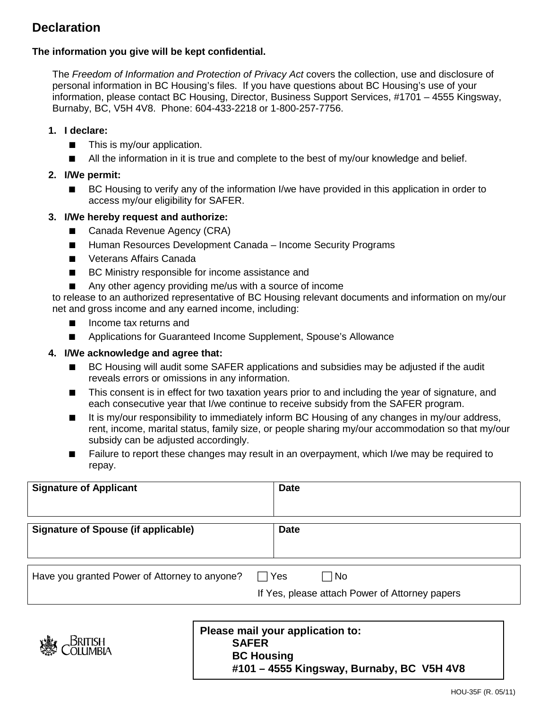## **Declaration**

#### **The information you give will be kept confidential.**

The *Freedom of Information and Protection of Privacy Act* covers the collection, use and disclosure of personal information in BC Housing's files. If you have questions about BC Housing's use of your information, please contact BC Housing, Director, Business Support Services, #1701 – 4555 Kingsway, Burnaby, BC, V5H 4V8. Phone: 604-433-2218 or 1-800-257-7756.

#### **1. I declare:**

- This is my/our application.
- All the information in it is true and complete to the best of my/our knowledge and belief.

#### **2. I/We permit:**

BC Housing to verify any of the information I/we have provided in this application in order to access my/our eligibility for SAFER.

#### **3. I/We hereby request and authorize:**

- Canada Revenue Agency (CRA)
- Human Resources Development Canada Income Security Programs
- Veterans Affairs Canada
- BC Ministry responsible for income assistance and
- Any other agency providing me/us with a source of income

to release to an authorized representative of BC Housing relevant documents and information on my/our net and gross income and any earned income, including:

- Income tax returns and
- Applications for Guaranteed Income Supplement, Spouse's Allowance

#### **4. I/We acknowledge and agree that:**

- BC Housing will audit some SAFER applications and subsidies may be adjusted if the audit reveals errors or omissions in any information.
- This consent is in effect for two taxation years prior to and including the year of signature, and each consecutive year that I/we continue to receive subsidy from the SAFER program.
- It is my/our responsibility to immediately inform BC Housing of any changes in my/our address, rent, income, marital status, family size, or people sharing my/our accommodation so that my/our subsidy can be adjusted accordingly.
- Failure to report these changes may result in an overpayment, which I/we may be required to repay.

| <b>Signature of Applicant</b>                 | <b>Date</b> |                                                             |
|-----------------------------------------------|-------------|-------------------------------------------------------------|
| <b>Signature of Spouse (if applicable)</b>    | <b>Date</b> |                                                             |
| Have you granted Power of Attorney to anyone? | Yes         | $\Box$ No<br>If Yes, please attach Power of Attorney papers |



#### **Please mail your application to: SAFER BC Housing #101 – 4555 Kingsway, Burnaby, BC V5H 4V8**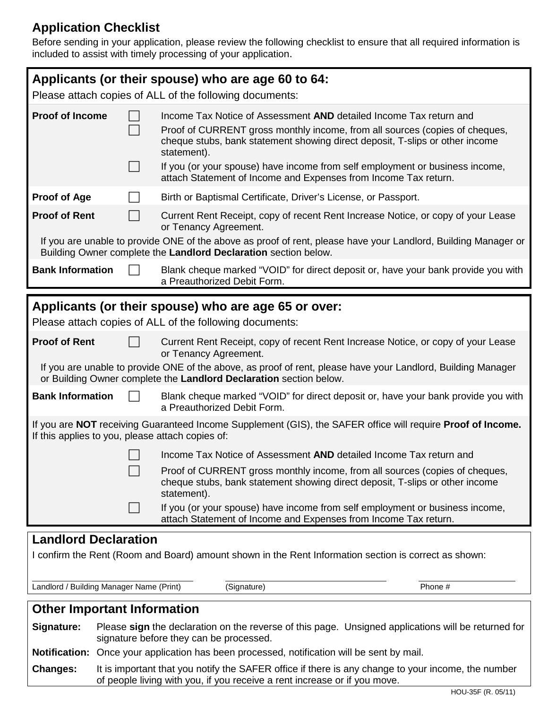## **Application Checklist**

Before sending in your application, please review the following checklist to ensure that all required information is included to assist with timely processing of your application.

|                                                  | Applicants (or their spouse) who are age 60 to 64:<br>Please attach copies of ALL of the following documents:                                                                                                                                                                                                                                                                                       |
|--------------------------------------------------|-----------------------------------------------------------------------------------------------------------------------------------------------------------------------------------------------------------------------------------------------------------------------------------------------------------------------------------------------------------------------------------------------------|
| <b>Proof of Income</b>                           | Income Tax Notice of Assessment AND detailed Income Tax return and<br>Proof of CURRENT gross monthly income, from all sources (copies of cheques,<br>cheque stubs, bank statement showing direct deposit, T-slips or other income<br>statement).<br>If you (or your spouse) have income from self employment or business income,<br>attach Statement of Income and Expenses from Income Tax return. |
| <b>Proof of Age</b>                              | Birth or Baptismal Certificate, Driver's License, or Passport.                                                                                                                                                                                                                                                                                                                                      |
| <b>Proof of Rent</b>                             | Current Rent Receipt, copy of recent Rent Increase Notice, or copy of your Lease<br>or Tenancy Agreement.                                                                                                                                                                                                                                                                                           |
|                                                  | If you are unable to provide ONE of the above as proof of rent, please have your Landlord, Building Manager or<br>Building Owner complete the Landlord Declaration section below.                                                                                                                                                                                                                   |
| <b>Bank Information</b>                          | Blank cheque marked "VOID" for direct deposit or, have your bank provide you with<br>a Preauthorized Debit Form.                                                                                                                                                                                                                                                                                    |
|                                                  |                                                                                                                                                                                                                                                                                                                                                                                                     |
|                                                  | Applicants (or their spouse) who are age 65 or over:                                                                                                                                                                                                                                                                                                                                                |
|                                                  | Please attach copies of ALL of the following documents:                                                                                                                                                                                                                                                                                                                                             |
| <b>Proof of Rent</b>                             | Current Rent Receipt, copy of recent Rent Increase Notice, or copy of your Lease<br>or Tenancy Agreement.                                                                                                                                                                                                                                                                                           |
|                                                  | If you are unable to provide ONE of the above, as proof of rent, please have your Landlord, Building Manager<br>or Building Owner complete the Landlord Declaration section below.                                                                                                                                                                                                                  |
| <b>Bank Information</b>                          | Blank cheque marked "VOID" for direct deposit or, have your bank provide you with<br>a Preauthorized Debit Form.                                                                                                                                                                                                                                                                                    |
| If this applies to you, please attach copies of: | If you are NOT receiving Guaranteed Income Supplement (GIS), the SAFER office will require Proof of Income.                                                                                                                                                                                                                                                                                         |
|                                                  | Income Tax Notice of Assessment AND detailed Income Tax return and                                                                                                                                                                                                                                                                                                                                  |
|                                                  | Proof of CURRENT gross monthly income, from all sources (copies of cheques,<br>cheque stubs, bank statement showing direct deposit, T-slips or other income<br>statement).                                                                                                                                                                                                                          |
|                                                  | If you (or your spouse) have income from self employment or business income,<br>attach Statement of Income and Expenses from Income Tax return.                                                                                                                                                                                                                                                     |
|                                                  |                                                                                                                                                                                                                                                                                                                                                                                                     |
| <b>Landlord Declaration</b>                      | I confirm the Rent (Room and Board) amount shown in the Rent Information section is correct as shown:                                                                                                                                                                                                                                                                                               |

Landlord / Building Manager Name (Print) (Signature) Phone #

## **Other Important Information**

**Signature:** Please **sign** the declaration on the reverse of this page. Unsigned applications will be returned for signature before they can be processed.

**Notification:** Once your application has been processed, notification will be sent by mail.

**Changes:** It is important that you notify the SAFER office if there is any change to your income, the number of people living with you, if you receive a rent increase or if you move.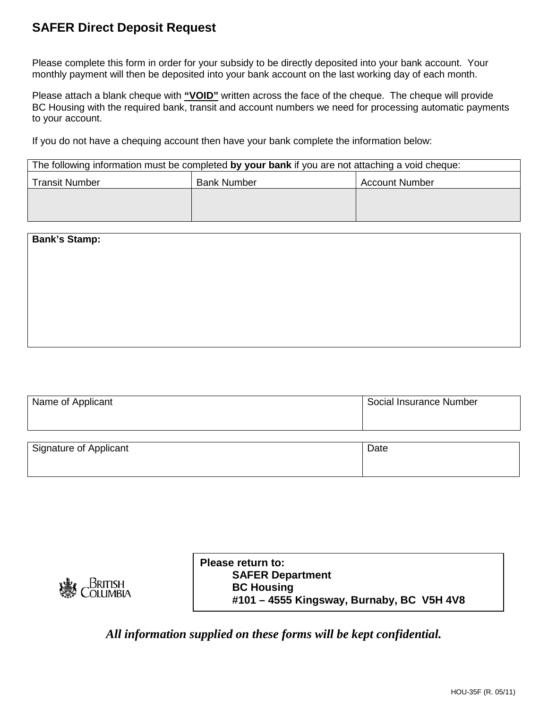## **SAFER Direct Deposit Request**

Please complete this form in order for your subsidy to be directly deposited into your bank account. Your monthly payment will then be deposited into your bank account on the last working day of each month.

Please attach a blank cheque with **"VOID"** written across the face of the cheque. The cheque will provide BC Housing with the required bank, transit and account numbers we need for processing automatic payments to your account.

If you do not have a chequing account then have your bank complete the information below:

|                       | The following information must be completed by your bank if you are not attaching a void cheque: |                       |
|-----------------------|--------------------------------------------------------------------------------------------------|-----------------------|
| <b>Transit Number</b> | <b>Bank Number</b>                                                                               | <b>Account Number</b> |
|                       |                                                                                                  |                       |
|                       |                                                                                                  |                       |

| <b>Bank's Stamp:</b> |  |  |
|----------------------|--|--|
|                      |  |  |
|                      |  |  |
|                      |  |  |
|                      |  |  |
|                      |  |  |

| Name of Applicant      | Social Insurance Number |
|------------------------|-------------------------|
| Signature of Applicant | Date                    |

|                                 | Please return to:<br><b>SAFER Department</b> |
|---------------------------------|----------------------------------------------|
| 灤<br><b>BRITISH</b><br>COLUMBIA | <b>BC Housing</b>                            |
|                                 | #101 - 4555 Kingsway, Burnaby, BC V5H 4V8    |

*All information supplied on these forms will be kept confidential.*